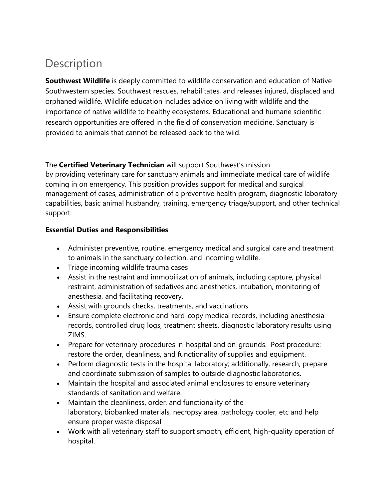# Description

**Southwest Wildlife** is deeply committed to wildlife conservation and education of Native Southwestern species. Southwest rescues, rehabilitates, and releases injured, displaced and orphaned wildlife. Wildlife education includes advice on living with wildlife and the importance of native wildlife to healthy ecosystems. Educational and humane scientific research opportunities are offered in the field of conservation medicine. Sanctuary is provided to animals that cannot be released back to the wild.

## The **Certified Veterinary Technician** will support Southwest's mission

by providing veterinary care for sanctuary animals and immediate medical care of wildlife coming in on emergency. This position provides support for medical and surgical management of cases, administration of a preventive health program, diagnostic laboratory capabilities, basic animal husbandry, training, emergency triage/support, and other technical support.

## **Essential Duties and Responsibilities**

- Administer preventive, routine, emergency medical and surgical care and treatment to animals in the sanctuary collection, and incoming wildlife.
- Triage incoming wildlife trauma cases
- Assist in the restraint and immobilization of animals, including capture, physical restraint, administration of sedatives and anesthetics, intubation, monitoring of anesthesia, and facilitating recovery.
- Assist with grounds checks, treatments, and vaccinations.
- Ensure complete electronic and hard-copy medical records, including anesthesia records, controlled drug logs, treatment sheets, diagnostic laboratory results using ZIMS.
- Prepare for veterinary procedures in-hospital and on-grounds. Post procedure: restore the order, cleanliness, and functionality of supplies and equipment.
- Perform diagnostic tests in the hospital laboratory; additionally, research, prepare and coordinate submission of samples to outside diagnostic laboratories.
- Maintain the hospital and associated animal enclosures to ensure veterinary standards of sanitation and welfare.
- Maintain the cleanliness, order, and functionality of the laboratory, biobanked materials, necropsy area, pathology cooler, etc and help ensure proper waste disposal
- Work with all veterinary staff to support smooth, efficient, high-quality operation of hospital.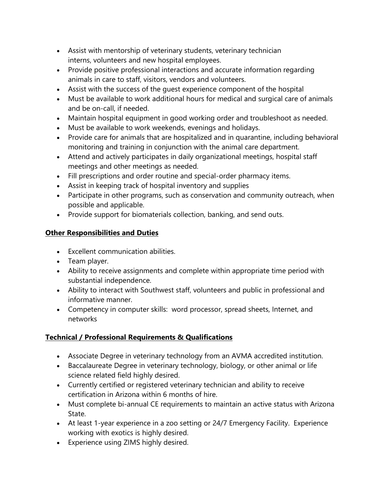- Assist with mentorship of veterinary students, veterinary technician interns, volunteers and new hospital employees.
- Provide positive professional interactions and accurate information regarding animals in care to staff, visitors, vendors and volunteers.
- Assist with the success of the guest experience component of the hospital
- Must be available to work additional hours for medical and surgical care of animals and be on-call, if needed.
- Maintain hospital equipment in good working order and troubleshoot as needed.
- Must be available to work weekends, evenings and holidays.
- Provide care for animals that are hospitalized and in quarantine, including behavioral monitoring and training in conjunction with the animal care department.
- Attend and actively participates in daily organizational meetings, hospital staff meetings and other meetings as needed.
- Fill prescriptions and order routine and special-order pharmacy items.
- Assist in keeping track of hospital inventory and supplies
- Participate in other programs, such as conservation and community outreach, when possible and applicable.
- Provide support for biomaterials collection, banking, and send outs.

## **Other Responsibilities and Duties**

- Excellent communication abilities.
- Team player.
- Ability to receive assignments and complete within appropriate time period with substantial independence.
- Ability to interact with Southwest staff, volunteers and public in professional and informative manner.
- Competency in computer skills: word processor, spread sheets, Internet, and networks

## **Technical / Professional Requirements & Qualifications**

- Associate Degree in veterinary technology from an AVMA accredited institution.
- Baccalaureate Degree in veterinary technology, biology, or other animal or life science related field highly desired.
- Currently certified or registered veterinary technician and ability to receive certification in Arizona within 6 months of hire.
- Must complete bi-annual CE requirements to maintain an active status with Arizona State.
- At least 1-year experience in a zoo setting or 24/7 Emergency Facility. Experience working with exotics is highly desired.
- Experience using ZIMS highly desired.